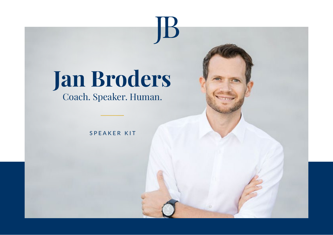# **Jan Broders**

JB

Coach. Speaker. Human.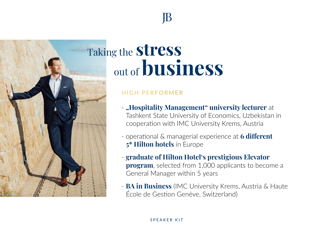## Taking the **stress** out of**business**

## **HIGH PERFORMER**

- **-** "Hospitality Management" university lecturer at Tashkent State University of Economics, Uzbekistan in cooperation with IMC University Krems, Austria
- operational & managerial experience at **6 different 5\* Hilton hotels** in Europe
- **graduate of Hilton Hotel's prestigious Elevator program**, selected from 1,000 applicants to become a General Manager within 5 years
- **BA in Business** (IMC University Krems, Austria & Haute École de Gestion Genève, Switzerland)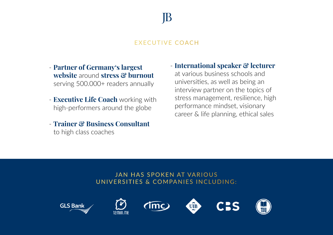## **FXFCUTIVE COACH**

- **Partner of Germany's largest website** around **stress & burnout** serving 500.000+ readers annually
- **Executive Life Coach** working with high-performers around the globe
- **Trainer & Business Consultant** to high class coaches

- **International speaker & lecturer**

at various business schools and universities, as well as being an interview partner on the topics of stress management, resilience, high performance mindset, visionary career & life planning, ethical sales

## **JAN HAS SPOKEN AT VARIOUS** UNIVERSITIES & COMPANIES INCLUDING:









UIB



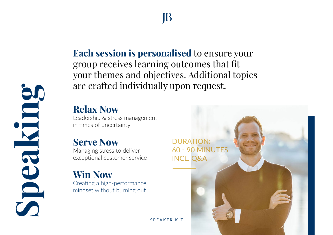**Each session is personalised** to ensure your group receives learning outcomes that fit your themes and objectives. Additional topics are crafted individually upon request.

## **Relax Now**

Leadership & stress management in times of uncertainty

## **Serve Now**

**Speaking**

Managing stress to deliver exceptional customer service

## **Win Now**

Creating a high-performance mindset without burning out

**DURATION: 60 - 90 MINUTES INCL. Q&A**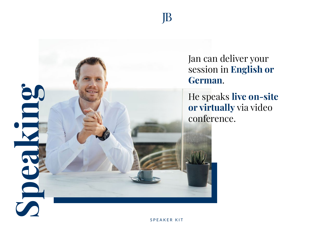

Jan can deliver your session in **English or German**.

He speaks **live on-site or virtually** via video conference.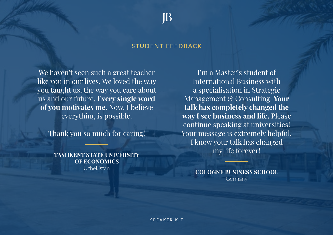#### **STUDENT FEEDBACK**

We haven't seen such a great teacher like you in our lives. We loved the way you taught us, the way you care about us and our future. **Every single word of you motivates me.** Now, I believe everything is possible.

Thank you so much for caring!

**TASHKENT STATE UNIVERSITY OF ECONOMICS** Uzbekistan

I'm a Master's student of International Business with a specialisation in Strategic Management & Consulting. **Your talk has completely changed the way I see business and life.** Please continue speaking at universities! Your message is extremely helpful. I know your talk has changed my life forever!

> **COLOGNE BUSINESS SCHOOL** Germany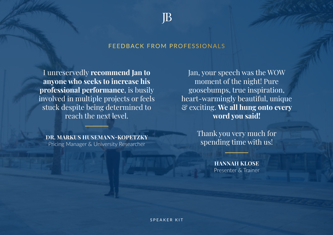#### FEEDBACK FROM PROFESSIONALS

I unreservedly **recommend Jan to anyone who seeks to increase his professional performance**, is busily involved in multiple projects or feels stuck despite being determined to reach the next level.

**DR. MARKUS HUSEMANN-KOPETZKY** Pricing Manager & University Researcher

Jan, your speech was the WOW moment of the night! Pure goosebumps, true inspiration, heart-warmingly beautiful, unique & exciting. **We all hung onto every word you said!**

> Thank you very much for spending time with us!

> > **HANNAH KLOSE** Presenter & Trainer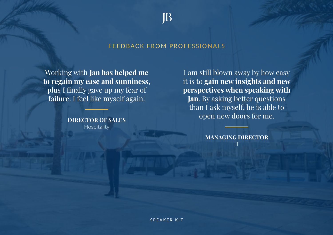#### FEEDBACK FROM PROFESSIONALS

Working with **Jan has helped me to regain my ease and sunniness**, plus I finally gave up my fear of failure. I feel like myself again!

> **DIRECTOR OF SALES** Hospitality

I am still blown away by how easy it is to **gain new insights and new perspectives when speaking with Jan**. By asking better questions than I ask myself, he is able to open new doors for me.

> **MANAGING DIRECTOR** IT